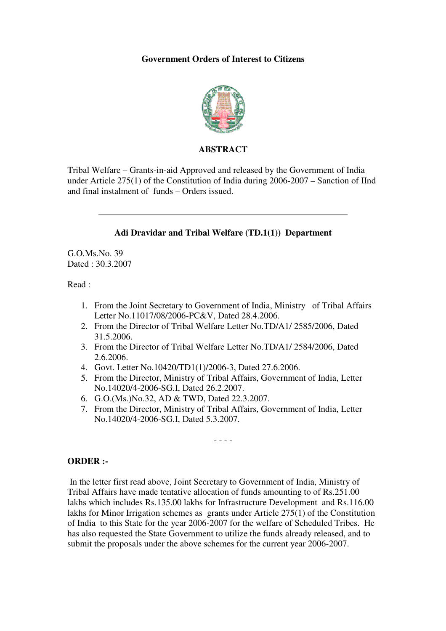#### **Government Orders of Interest to Citizens**



#### **ABSTRACT**

Tribal Welfare – Grants-in-aid Approved and released by the Government of India under Article 275(1) of the Constitution of India during 2006-2007 – Sanction of IInd and final instalment of funds – Orders issued.



- 3. From the Director of Tribal Welfare Letter No.TD/A1/ 2584/2006, Dated 2.6.2006.
- 4. Govt. Letter No.10420/TD1(1)/2006-3, Dated 27.6.2006.
- 5. From the Director, Ministry of Tribal Affairs, Government of India, Letter No.14020/4-2006-SG.I, Dated 26.2.2007.
- 6. G.O.(Ms.)No.32, AD & TWD, Dated 22.3.2007.
- 7. From the Director, Ministry of Tribal Affairs, Government of India, Letter No.14020/4-2006-SG.I, Dated 5.3.2007.

- - - -

## **ORDER :-**

 In the letter first read above, Joint Secretary to Government of India, Ministry of Tribal Affairs have made tentative allocation of funds amounting to of Rs.251.00 lakhs which includes Rs.135.00 lakhs for Infrastructure Development and Rs.116.00 lakhs for Minor Irrigation schemes as grants under Article 275(1) of the Constitution of India to this State for the year 2006-2007 for the welfare of Scheduled Tribes. He has also requested the State Government to utilize the funds already released, and to submit the proposals under the above schemes for the current year 2006-2007.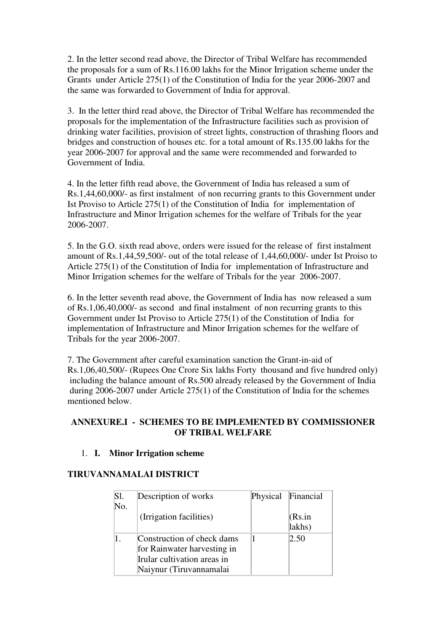2. In the letter second read above, the Director of Tribal Welfare has recommended the proposals for a sum of Rs.116.00 lakhs for the Minor Irrigation scheme under the Grants under Article 275(1) of the Constitution of India for the year 2006-2007 and the same was forwarded to Government of India for approval.

3. In the letter third read above, the Director of Tribal Welfare has recommended the proposals for the implementation of the Infrastructure facilities such as provision of drinking water facilities, provision of street lights, construction of thrashing floors and bridges and construction of houses etc. for a total amount of Rs.135.00 lakhs for the year 2006-2007 for approval and the same were recommended and forwarded to Government of India.

4. In the letter fifth read above, the Government of India has released a sum of Rs.1,44,60,000/- as first instalment of non recurring grants to this Government under Ist Proviso to Article 275(1) of the Constitution of India for implementation of Infrastructure and Minor Irrigation schemes for the welfare of Tribals for the year 2006-2007.

5. In the G.O. sixth read above, orders were issued for the release of first instalment amount of Rs.1,44,59,500/- out of the total release of 1,44,60,000/- under Ist Proiso to Article 275(1) of the Constitution of India for implementation of Infrastructure and Minor Irrigation schemes for the welfare of Tribals for the year 2006-2007.

6. In the letter seventh read above, the Government of India has now released a sum of Rs.1,06,40,000/- as second and final instalment of non recurring grants to this Government under Ist Proviso to Article 275(1) of the Constitution of India for implementation of Infrastructure and Minor Irrigation schemes for the welfare of Tribals for the year 2006-2007.

7. The Government after careful examination sanction the Grant-in-aid of Rs.1,06,40,500/- (Rupees One Crore Six lakhs Forty thousand and five hundred only) including the balance amount of Rs.500 already released by the Government of India during 2006-2007 under Article 275(1) of the Constitution of India for the schemes mentioned below.

# **ANNEXURE.I - SCHEMES TO BE IMPLEMENTED BY COMMISSIONER OF TRIBAL WELFARE**

## 1. **I. Minor Irrigation scheme**

# **TIRUVANNAMALAI DISTRICT**

| Sl. | Description of works        | Physical Financial |
|-----|-----------------------------|--------------------|
| No. |                             |                    |
|     | (Irrigation facilities)     | (Rs.in             |
|     |                             | lakhs)             |
|     | Construction of check dams  | 2.50               |
|     | for Rainwater harvesting in |                    |
|     | Irular cultivation areas in |                    |
|     | Naiynur (Tiruvannamalai     |                    |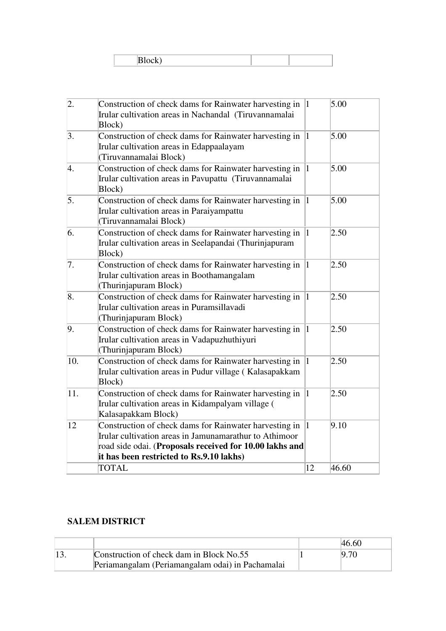| ---- |  |  |
|------|--|--|

| $\overline{2}$ . | Construction of check dams for Rainwater harvesting in $\ $ 1<br>Irular cultivation areas in Nachandal (Tiruvannamalai<br>Block)                                                                                        |              | 5.00  |
|------------------|-------------------------------------------------------------------------------------------------------------------------------------------------------------------------------------------------------------------------|--------------|-------|
| 3.               | Construction of check dams for Rainwater harvesting in<br>Irular cultivation areas in Edappaalayam<br>(Tiruvannamalai Block)                                                                                            | 1            | 5.00  |
| 4.               | Construction of check dams for Rainwater harvesting in<br>Irular cultivation areas in Pavupattu (Tiruvannamalai<br>Block)                                                                                               | 1            | 5.00  |
| 5.               | Construction of check dams for Rainwater harvesting in<br>Irular cultivation areas in Paraiyampattu<br>(Tiruvannamalai Block)                                                                                           | $\vert$ 1    | 5.00  |
| 6.               | Construction of check dams for Rainwater harvesting in<br>Irular cultivation areas in Seelapandai (Thurinjapuram<br>Block)                                                                                              | $\vert$ 1    | 2.50  |
| 7.               | Construction of check dams for Rainwater harvesting in<br>Irular cultivation areas in Boothamangalam<br>(Thurinjapuram Block)                                                                                           | $\vert$ 1    | 2.50  |
| 8.               | Construction of check dams for Rainwater harvesting in<br>Irular cultivation areas in Puramsillavadi<br>(Thurinjapuram Block)                                                                                           | $\mathbf{1}$ | 2.50  |
| 9.               | Construction of check dams for Rainwater harvesting in<br>Irular cultivation areas in Vadapuzhuthiyuri<br>(Thurinjapuram Block)                                                                                         | $\mathbf{1}$ | 2.50  |
| 10.              | Construction of check dams for Rainwater harvesting in<br>Irular cultivation areas in Pudur village (Kalasapakkam<br>Block)                                                                                             | $\mathbf{1}$ | 2.50  |
| 11.              | Construction of check dams for Rainwater harvesting in<br>Irular cultivation areas in Kidampalyam village (<br>Kalasapakkam Block)                                                                                      | 1            | 2.50  |
| 12               | Construction of check dams for Rainwater harvesting in<br>Irular cultivation areas in Jamunamarathur to Athimoor<br>road side odai. (Proposals received for 10.00 lakhs and<br>it has been restricted to Rs.9.10 lakhs) | $\vert$ 1    | 9.10  |
|                  | <b>TOTAL</b>                                                                                                                                                                                                            | 12           | 46.60 |

# **SALEM DISTRICT**

|                                                  | 46.60 |
|--------------------------------------------------|-------|
| Construction of check dam in Block No.55         | 9.70  |
| Periamangalam (Periamangalam odai) in Pachamalai |       |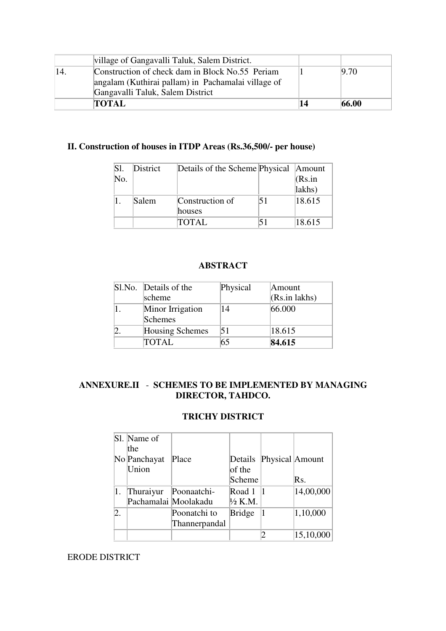| village of Gangavalli Taluk, Salem District.       |    |       |
|----------------------------------------------------|----|-------|
| Construction of check dam in Block No.55 Periam    |    | 9.70  |
| angalam (Kuthirai pallam) in Pachamalai village of |    |       |
| Gangavalli Taluk, Salem District                   |    |       |
| <b>TOTAL</b>                                       | 14 | 66.00 |

# **II. Construction of houses in ITDP Areas (Rs.36,500/- per house)**

| SI. | District | Details of the Scheme Physical Amount |        |
|-----|----------|---------------------------------------|--------|
| No. |          |                                       | (Rs.in |
|     |          |                                       | lakhs) |
|     | Salem    | Construction of                       | 18.615 |
|     |          | houses                                |        |
|     |          | <b>TOTAL</b>                          | 18.615 |

## **ABSTRACT**

| Sl.No. Details of the       | Physical | Amount        |
|-----------------------------|----------|---------------|
| scheme                      |          | (Rs.in lakhs) |
| Minor Irrigation<br>Schemes | 14       | 66.000        |
| Housing Schemes             | 51       | 18.615        |
| TOTAL                       | 65       | 84.615        |

## **ANNEXURE.II** - **SCHEMES TO BE IMPLEMENTED BY MANAGING DIRECTOR, TAHDCO.**

# **TRICHY DISTRICT**

|                  | Sl. Name of          |               |                    |                         |           |
|------------------|----------------------|---------------|--------------------|-------------------------|-----------|
|                  | the                  |               |                    |                         |           |
|                  | No Panchayat         | Place         |                    | Details Physical Amount |           |
|                  | Union                |               | of the             |                         |           |
|                  |                      |               | Scheme             |                         | Rs.       |
| 1.               | Thuraiyur            | Poonaatchi-   | Road $1 \vert 1$   |                         | 14,00,000 |
|                  | Pachamalai Moolakadu |               | $\frac{1}{2}$ K.M. |                         |           |
| $\overline{2}$ . |                      | Poonatchi to  | <b>Bridge</b>      |                         | 1,10,000  |
|                  |                      | Thannerpandal |                    |                         |           |
|                  |                      |               |                    |                         | 15,10,000 |

# ERODE DISTRICT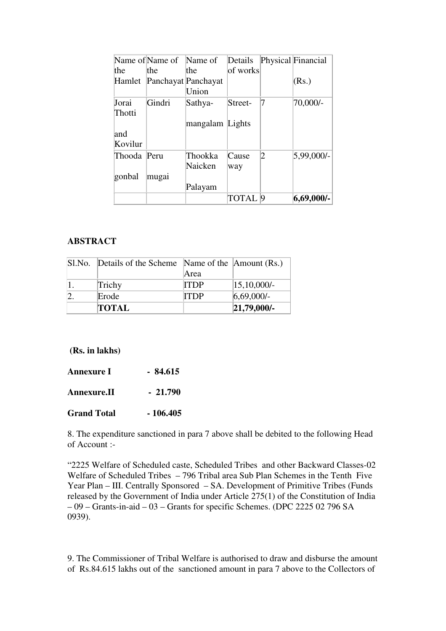|             | Name of Name of     | Name of         | Details  |           | Physical Financial |
|-------------|---------------------|-----------------|----------|-----------|--------------------|
| the         | the                 | the             | of works |           |                    |
| Hamlet      | Panchayat Panchayat |                 |          |           | (Rs.)              |
|             |                     | Union           |          |           |                    |
| Jorai       | Gindri              | Sathya-         | Street-  |           | 70,000/-           |
| Thotti      |                     |                 |          |           |                    |
|             |                     | mangalam Lights |          |           |                    |
| and         |                     |                 |          |           |                    |
| Kovilur     |                     |                 |          |           |                    |
| Thooda Peru |                     | Thookka         | Cause    | 2         | 5,99,000/-         |
|             |                     | Naicken         | way      |           |                    |
| gonbal      | mugai               |                 |          |           |                    |
|             |                     | Palayam         |          |           |                    |
|             |                     |                 | TOTAL    | $\vert 9$ | $ 6,69,000$ /-     |

#### **ABSTRACT**

| Sl.No. Details of the Scheme Name of the Amount (Rs.) |             |                   |
|-------------------------------------------------------|-------------|-------------------|
|                                                       | Area        |                   |
| Trichy                                                | <b>ITDP</b> | $ 15, 10, 000$ /- |
| Erode                                                 | ITDP        | 6,69,000/         |
| <b>TOTAL</b>                                          |             | $ 21,79,000$ /-   |

**(Rs. in lakhs)** 

| <b>Annexure I</b>  | $-84.615$ |
|--------------------|-----------|
| Annexure.II        | $-21.790$ |
| <b>Grand Total</b> | - 106.405 |

8. The expenditure sanctioned in para 7 above shall be debited to the following Head of Account :-

"2225 Welfare of Scheduled caste, Scheduled Tribes and other Backward Classes-02 Welfare of Scheduled Tribes – 796 Tribal area Sub Plan Schemes in the Tenth Five Year Plan – III. Centrally Sponsored – SA. Development of Primitive Tribes (Funds released by the Government of India under Article 275(1) of the Constitution of India – 09 – Grants-in-aid – 03 – Grants for specific Schemes. (DPC 2225 02 796 SA 0939).

9. The Commissioner of Tribal Welfare is authorised to draw and disburse the amount of Rs.84.615 lakhs out of the sanctioned amount in para 7 above to the Collectors of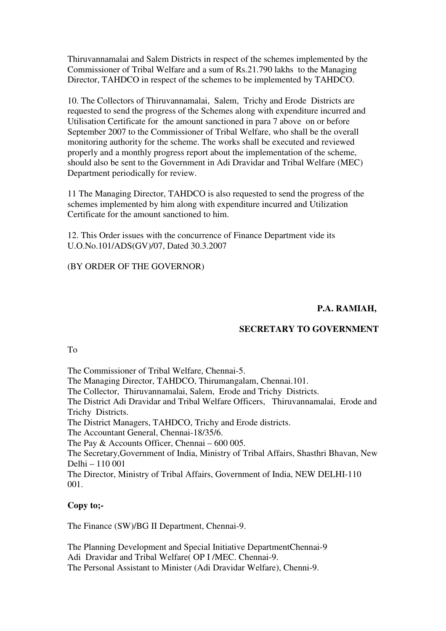Thiruvannamalai and Salem Districts in respect of the schemes implemented by the Commissioner of Tribal Welfare and a sum of Rs.21.790 lakhs to the Managing Director, TAHDCO in respect of the schemes to be implemented by TAHDCO.

10. The Collectors of Thiruvannamalai, Salem, Trichy and Erode Districts are requested to send the progress of the Schemes along with expenditure incurred and Utilisation Certificate for the amount sanctioned in para 7 above on or before September 2007 to the Commissioner of Tribal Welfare, who shall be the overall monitoring authority for the scheme. The works shall be executed and reviewed properly and a monthly progress report about the implementation of the scheme, should also be sent to the Government in Adi Dravidar and Tribal Welfare (MEC) Department periodically for review.

11 The Managing Director, TAHDCO is also requested to send the progress of the schemes implemented by him along with expenditure incurred and Utilization Certificate for the amount sanctioned to him.

12. This Order issues with the concurrence of Finance Department vide its U.O.No.101/ADS(GV)/07, Dated 30.3.2007

(BY ORDER OF THE GOVERNOR)

# **P.A. RAMIAH,**

#### **SECRETARY TO GOVERNMENT**

To

The Commissioner of Tribal Welfare, Chennai-5.

The Managing Director, TAHDCO, Thirumangalam, Chennai.101.

The Collector, Thiruvannamalai, Salem, Erode and Trichy Districts.

The District Adi Dravidar and Tribal Welfare Officers, Thiruvannamalai, Erode and Trichy Districts.

The District Managers, TAHDCO, Trichy and Erode districts.

The Accountant General, Chennai-18/35/6.

The Pay & Accounts Officer, Chennai – 600 005.

The Secretary,Government of India, Ministry of Tribal Affairs, Shasthri Bhavan, New Delhi – 110 001

The Director, Ministry of Tribal Affairs, Government of India, NEW DELHI-110 001.

## **Copy to;-**

The Finance (SW)/BG II Department, Chennai-9.

The Planning Development and Special Initiative DepartmentChennai-9 Adi Dravidar and Tribal Welfare( OP I /MEC. Chennai-9. The Personal Assistant to Minister (Adi Dravidar Welfare), Chenni-9.